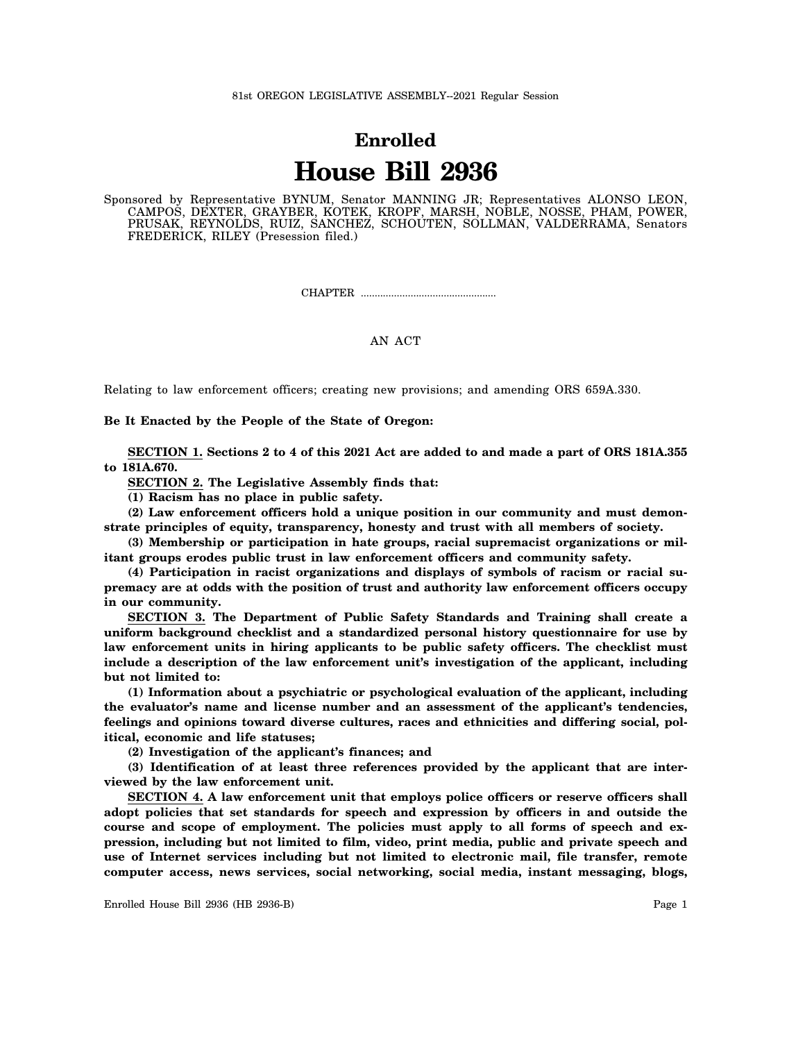## **Enrolled House Bill 2936**

Sponsored by Representative BYNUM, Senator MANNING JR; Representatives ALONSO LEON, CAMPOS, DEXTER, GRAYBER, KOTEK, KROPF, MARSH, NOBLE, NOSSE, PHAM, POWER, PRUSAK, REYNOLDS, RUIZ, SANCHEZ, SCHOUTEN, SOLLMAN, VALDERRAMA, Senators FREDERICK, RILEY (Presession filed.)

CHAPTER .................................................

## AN ACT

Relating to law enforcement officers; creating new provisions; and amending ORS 659A.330.

**Be It Enacted by the People of the State of Oregon:**

**SECTION 1. Sections 2 to 4 of this 2021 Act are added to and made a part of ORS 181A.355 to 181A.670.**

**SECTION 2. The Legislative Assembly finds that:**

**(1) Racism has no place in public safety.**

**(2) Law enforcement officers hold a unique position in our community and must demonstrate principles of equity, transparency, honesty and trust with all members of society.**

**(3) Membership or participation in hate groups, racial supremacist organizations or militant groups erodes public trust in law enforcement officers and community safety.**

**(4) Participation in racist organizations and displays of symbols of racism or racial supremacy are at odds with the position of trust and authority law enforcement officers occupy in our community.**

**SECTION 3. The Department of Public Safety Standards and Training shall create a uniform background checklist and a standardized personal history questionnaire for use by law enforcement units in hiring applicants to be public safety officers. The checklist must include a description of the law enforcement unit's investigation of the applicant, including but not limited to:**

**(1) Information about a psychiatric or psychological evaluation of the applicant, including the evaluator's name and license number and an assessment of the applicant's tendencies, feelings and opinions toward diverse cultures, races and ethnicities and differing social, political, economic and life statuses;**

**(2) Investigation of the applicant's finances; and**

**(3) Identification of at least three references provided by the applicant that are interviewed by the law enforcement unit.**

**SECTION 4. A law enforcement unit that employs police officers or reserve officers shall adopt policies that set standards for speech and expression by officers in and outside the course and scope of employment. The policies must apply to all forms of speech and expression, including but not limited to film, video, print media, public and private speech and use of Internet services including but not limited to electronic mail, file transfer, remote computer access, news services, social networking, social media, instant messaging, blogs,**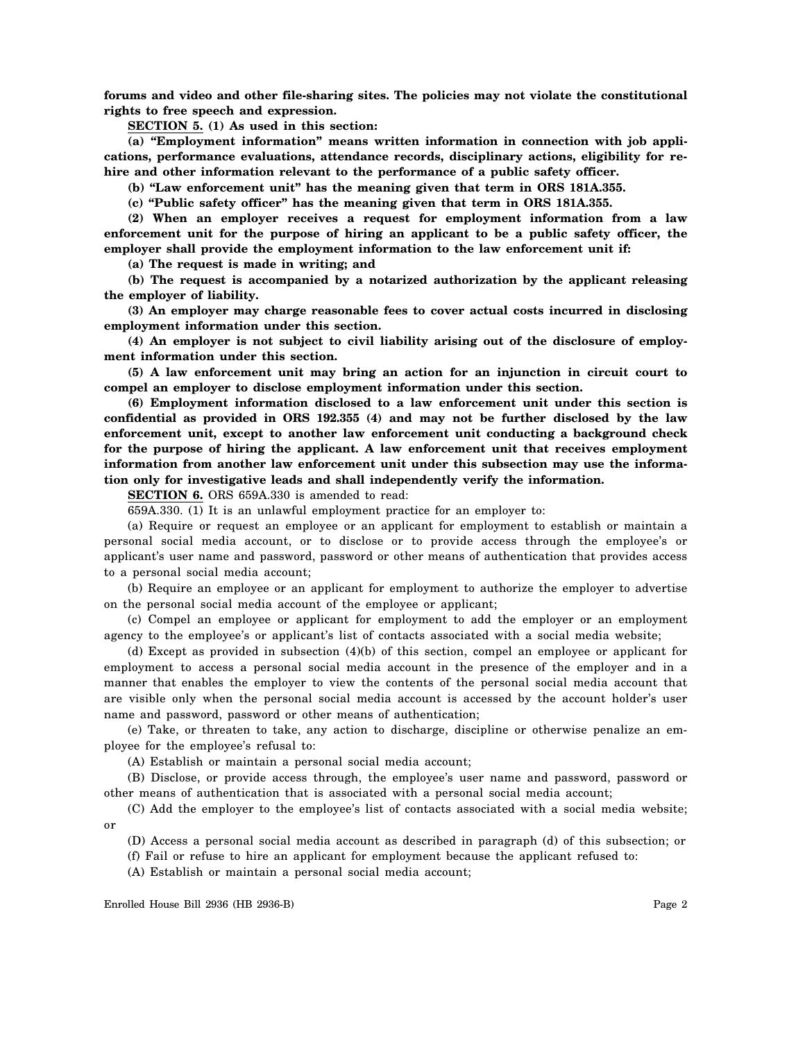**forums and video and other file-sharing sites. The policies may not violate the constitutional rights to free speech and expression.**

**SECTION 5. (1) As used in this section:**

**(a) "Employment information" means written information in connection with job applications, performance evaluations, attendance records, disciplinary actions, eligibility for rehire and other information relevant to the performance of a public safety officer.**

**(b) "Law enforcement unit" has the meaning given that term in ORS 181A.355.**

**(c) "Public safety officer" has the meaning given that term in ORS 181A.355.**

**(2) When an employer receives a request for employment information from a law enforcement unit for the purpose of hiring an applicant to be a public safety officer, the employer shall provide the employment information to the law enforcement unit if:**

**(a) The request is made in writing; and**

**(b) The request is accompanied by a notarized authorization by the applicant releasing the employer of liability.**

**(3) An employer may charge reasonable fees to cover actual costs incurred in disclosing employment information under this section.**

**(4) An employer is not subject to civil liability arising out of the disclosure of employment information under this section.**

**(5) A law enforcement unit may bring an action for an injunction in circuit court to compel an employer to disclose employment information under this section.**

**(6) Employment information disclosed to a law enforcement unit under this section is confidential as provided in ORS 192.355 (4) and may not be further disclosed by the law enforcement unit, except to another law enforcement unit conducting a background check for the purpose of hiring the applicant. A law enforcement unit that receives employment information from another law enforcement unit under this subsection may use the information only for investigative leads and shall independently verify the information.**

**SECTION 6.** ORS 659A.330 is amended to read:

659A.330. (1) It is an unlawful employment practice for an employer to:

(a) Require or request an employee or an applicant for employment to establish or maintain a personal social media account, or to disclose or to provide access through the employee's or applicant's user name and password, password or other means of authentication that provides access to a personal social media account;

(b) Require an employee or an applicant for employment to authorize the employer to advertise on the personal social media account of the employee or applicant;

(c) Compel an employee or applicant for employment to add the employer or an employment agency to the employee's or applicant's list of contacts associated with a social media website;

(d) Except as provided in subsection (4)(b) of this section, compel an employee or applicant for employment to access a personal social media account in the presence of the employer and in a manner that enables the employer to view the contents of the personal social media account that are visible only when the personal social media account is accessed by the account holder's user name and password, password or other means of authentication;

(e) Take, or threaten to take, any action to discharge, discipline or otherwise penalize an employee for the employee's refusal to:

(A) Establish or maintain a personal social media account;

(B) Disclose, or provide access through, the employee's user name and password, password or other means of authentication that is associated with a personal social media account;

(C) Add the employer to the employee's list of contacts associated with a social media website; or

(D) Access a personal social media account as described in paragraph (d) of this subsection; or

(f) Fail or refuse to hire an applicant for employment because the applicant refused to:

(A) Establish or maintain a personal social media account;

Enrolled House Bill 2936 (HB 2936-B) Page 2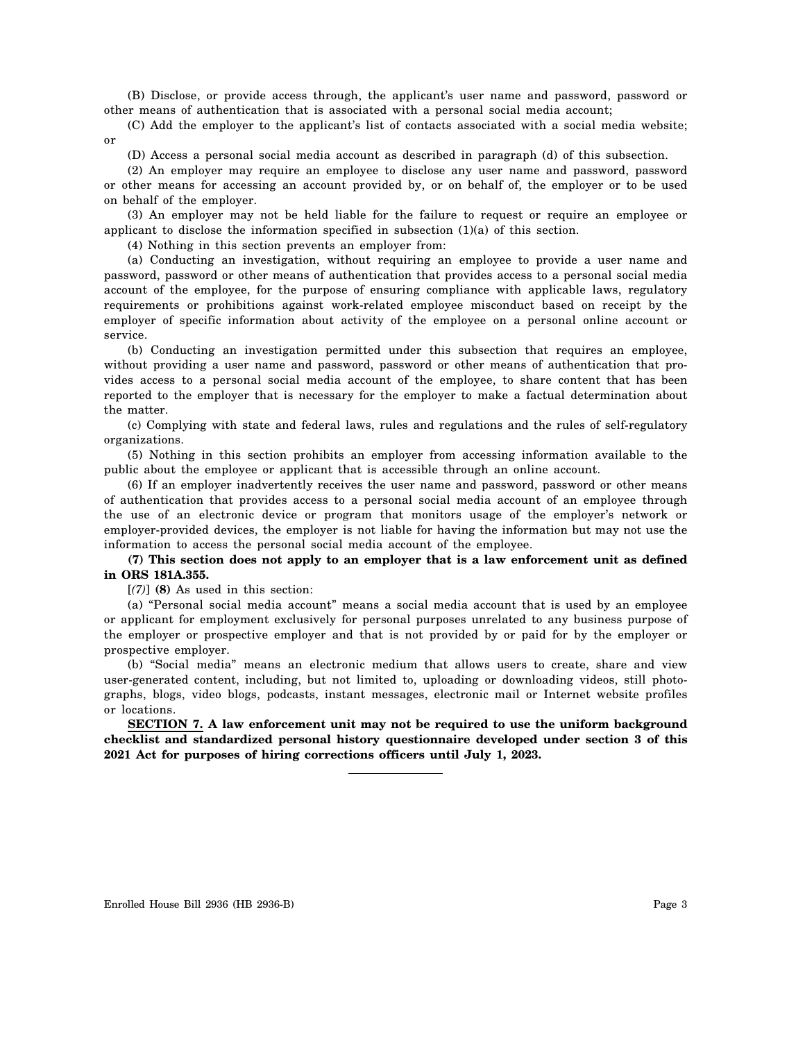(B) Disclose, or provide access through, the applicant's user name and password, password or other means of authentication that is associated with a personal social media account;

(C) Add the employer to the applicant's list of contacts associated with a social media website; or

(D) Access a personal social media account as described in paragraph (d) of this subsection.

(2) An employer may require an employee to disclose any user name and password, password or other means for accessing an account provided by, or on behalf of, the employer or to be used on behalf of the employer.

(3) An employer may not be held liable for the failure to request or require an employee or applicant to disclose the information specified in subsection (1)(a) of this section.

(4) Nothing in this section prevents an employer from:

(a) Conducting an investigation, without requiring an employee to provide a user name and password, password or other means of authentication that provides access to a personal social media account of the employee, for the purpose of ensuring compliance with applicable laws, regulatory requirements or prohibitions against work-related employee misconduct based on receipt by the employer of specific information about activity of the employee on a personal online account or service.

(b) Conducting an investigation permitted under this subsection that requires an employee, without providing a user name and password, password or other means of authentication that provides access to a personal social media account of the employee, to share content that has been reported to the employer that is necessary for the employer to make a factual determination about the matter.

(c) Complying with state and federal laws, rules and regulations and the rules of self-regulatory organizations.

(5) Nothing in this section prohibits an employer from accessing information available to the public about the employee or applicant that is accessible through an online account.

(6) If an employer inadvertently receives the user name and password, password or other means of authentication that provides access to a personal social media account of an employee through the use of an electronic device or program that monitors usage of the employer's network or employer-provided devices, the employer is not liable for having the information but may not use the information to access the personal social media account of the employee.

## **(7) This section does not apply to an employer that is a law enforcement unit as defined in ORS 181A.355.**

[*(7)*] **(8)** As used in this section:

(a) "Personal social media account" means a social media account that is used by an employee or applicant for employment exclusively for personal purposes unrelated to any business purpose of the employer or prospective employer and that is not provided by or paid for by the employer or prospective employer.

(b) "Social media" means an electronic medium that allows users to create, share and view user-generated content, including, but not limited to, uploading or downloading videos, still photographs, blogs, video blogs, podcasts, instant messages, electronic mail or Internet website profiles or locations.

**SECTION 7. A law enforcement unit may not be required to use the uniform background checklist and standardized personal history questionnaire developed under section 3 of this 2021 Act for purposes of hiring corrections officers until July 1, 2023.**